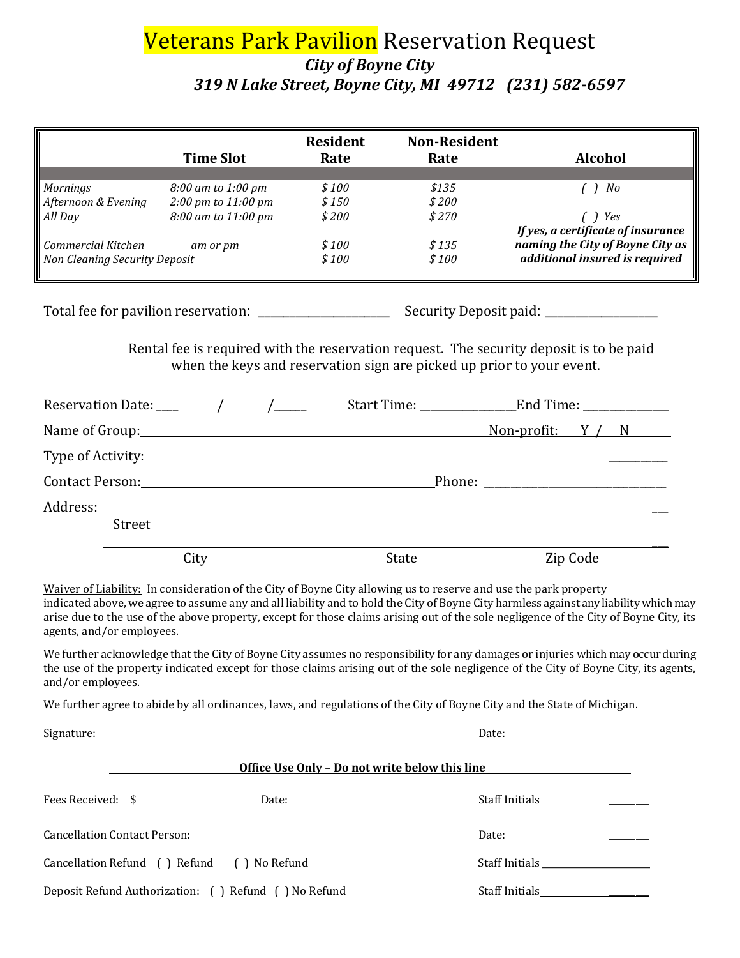## Veterans Park Pavilion Reservation Request *City of Boyne City 319 N Lake Street, Boyne City, MI 49712 (231) 582-6597*

|                                                                                                                | <b>Time Slot</b>                                                                                                 | <b>Resident</b><br>Rate | <b>Non-Resident</b><br>Rate | Alcohol                                                                                                                                                                                                                                                                                                                                                                                                           |
|----------------------------------------------------------------------------------------------------------------|------------------------------------------------------------------------------------------------------------------|-------------------------|-----------------------------|-------------------------------------------------------------------------------------------------------------------------------------------------------------------------------------------------------------------------------------------------------------------------------------------------------------------------------------------------------------------------------------------------------------------|
| Mornings                                                                                                       | 8:00 am to 1:00 pm                                                                                               | \$100                   | \$135                       | $( )$ No                                                                                                                                                                                                                                                                                                                                                                                                          |
| Afternoon & Evening                                                                                            | 2:00 pm to 11:00 pm                                                                                              | \$150                   | \$200                       |                                                                                                                                                                                                                                                                                                                                                                                                                   |
| All Day                                                                                                        | 8:00 am to 11:00 pm                                                                                              | \$200                   | \$270                       | $( )$ Yes                                                                                                                                                                                                                                                                                                                                                                                                         |
|                                                                                                                |                                                                                                                  |                         |                             | If yes, a certificate of insurance                                                                                                                                                                                                                                                                                                                                                                                |
| Commercial Kitchen<br><b>Non Cleaning Security Deposit</b>                                                     | am or pm                                                                                                         | \$100<br>\$100          | \$135<br>\$100              | naming the City of Boyne City as<br>additional insured is required                                                                                                                                                                                                                                                                                                                                                |
|                                                                                                                |                                                                                                                  |                         |                             |                                                                                                                                                                                                                                                                                                                                                                                                                   |
|                                                                                                                |                                                                                                                  |                         |                             |                                                                                                                                                                                                                                                                                                                                                                                                                   |
|                                                                                                                | when the keys and reservation sign are picked up prior to your event.                                            |                         |                             | Rental fee is required with the reservation request. The security deposit is to be paid                                                                                                                                                                                                                                                                                                                           |
|                                                                                                                |                                                                                                                  |                         |                             |                                                                                                                                                                                                                                                                                                                                                                                                                   |
|                                                                                                                |                                                                                                                  |                         |                             | Name of Group: $\qquad \qquad$ Name of Group:                                                                                                                                                                                                                                                                                                                                                                     |
|                                                                                                                |                                                                                                                  |                         |                             |                                                                                                                                                                                                                                                                                                                                                                                                                   |
| Contact Person: 2008 Phone: 2008 Phone: 2008 Phone: 2008 Phone: 2008 Phone: 2008 Phone: 2008 Phone: 2008 Phone |                                                                                                                  |                         |                             |                                                                                                                                                                                                                                                                                                                                                                                                                   |
|                                                                                                                |                                                                                                                  |                         |                             |                                                                                                                                                                                                                                                                                                                                                                                                                   |
| Street                                                                                                         |                                                                                                                  |                         |                             |                                                                                                                                                                                                                                                                                                                                                                                                                   |
|                                                                                                                | City                                                                                                             |                         | State                       | Zip Code                                                                                                                                                                                                                                                                                                                                                                                                          |
| agents, and/or employees.                                                                                      | Waiver of Liability: In consideration of the City of Boyne City allowing us to reserve and use the park property |                         |                             | indicated above, we agree to assume any and all liability and to hold the City of Boyne City harmless against any liability which may<br>arise due to the use of the above property, except for those claims arising out of the sole negligence of the City of Boyne City, its<br>We further acknowledge that the City of Boyne City assumes no responsibility for any damages or injuries which may occur during |
| and/or employees.                                                                                              |                                                                                                                  |                         |                             | the use of the property indicated except for those claims arising out of the sole negligence of the City of Boyne City, its agents,                                                                                                                                                                                                                                                                               |
|                                                                                                                |                                                                                                                  |                         |                             | We further agree to abide by all ordinances, laws, and regulations of the City of Boyne City and the State of Michigan.                                                                                                                                                                                                                                                                                           |
|                                                                                                                |                                                                                                                  |                         |                             | Date: $\qquad \qquad$                                                                                                                                                                                                                                                                                                                                                                                             |
|                                                                                                                |                                                                                                                  |                         |                             | Office Use Only - Do not write below this line                                                                                                                                                                                                                                                                                                                                                                    |
| Fees Received: \$                                                                                              |                                                                                                                  | Date:                   |                             |                                                                                                                                                                                                                                                                                                                                                                                                                   |
|                                                                                                                |                                                                                                                  |                         |                             |                                                                                                                                                                                                                                                                                                                                                                                                                   |
|                                                                                                                | Cancellation Refund () Refund () No Refund                                                                       |                         |                             |                                                                                                                                                                                                                                                                                                                                                                                                                   |
|                                                                                                                | Deposit Refund Authorization: ( ) Refund ( ) No Refund                                                           |                         |                             |                                                                                                                                                                                                                                                                                                                                                                                                                   |
|                                                                                                                |                                                                                                                  |                         |                             |                                                                                                                                                                                                                                                                                                                                                                                                                   |